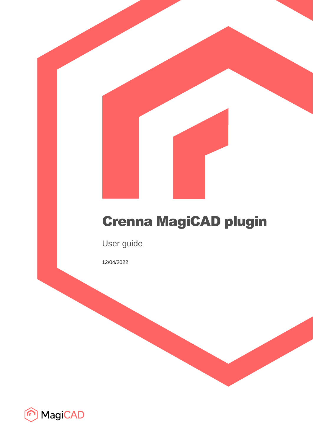# Crenna MagiCAD plugin

User guide

12/04/2022

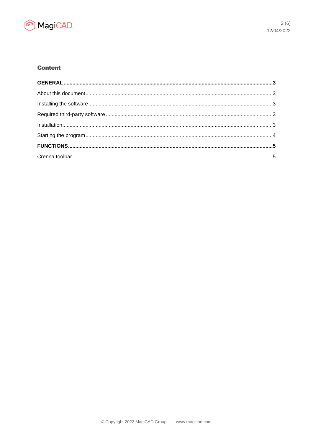

## **Content**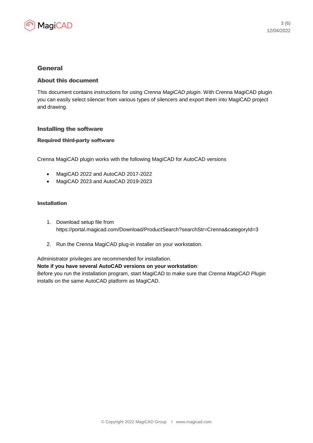

### General

#### About this document

This document contains instructions for using *Crenna MagiCAD plugin*. With Crenna MagiCAD plugin you can easily select silencer from various types of silencers and export them into MagiCAD project and drawing.

#### Installing the software

#### Required third-party software

Crenna MagiCAD plugin works with the following MagiCAD for AutoCAD versions

- MagiCAD 2022 and AutoCAD 2017-2022
- MagiCAD 2023 and AutoCAD 2019-2023

#### Installation

- 1. Download setup file from https://portal.magicad.com/Download/ProductSearch?searchStr=Crenna&categoryId=3
- 2. Run the Crenna MagiCAD plug-in installer on your workstation.

#### Administrator privileges are recommended for installation.

#### **Note if you have several AutoCAD versions on your workstation**:

Before you run the installation program, start MagiCAD to make sure that *Crenna MagiCAD Plugin* installs on the same AutoCAD platform as MagiCAD.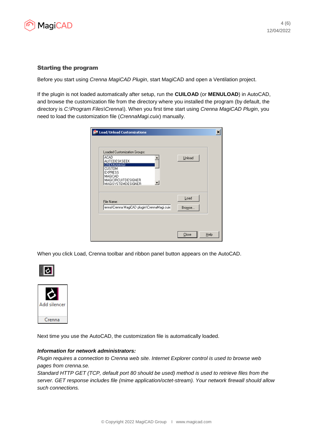

#### Starting the program

Before you start using *Crenna MagiCAD Plugin*, start MagiCAD and open a Ventilation project.

If the plugin is not loaded automatically after setup, run the **CUILOAD** (or **MENULOAD**) in AutoCAD, and browse the customization file from the directory where you installed the program (by default, the directory is *C:\Program Files\Crenna\*). When you first time start using *Crenna MagiCAD Plugin*, you need to load the customization file (*CrennaMagi.cuix*) manually.

| Load/Unload Customizations                                                                                                                                                         | ×              |
|------------------------------------------------------------------------------------------------------------------------------------------------------------------------------------|----------------|
| Loaded Customization Groups:<br><b>ACAD</b><br>AUTODESKSEEK<br>CRENNAMAGI<br><b>CUSTOM</b><br><b>EXPRESS</b><br>MAGICAD<br><b>MAGICIRCUITDESIGNER</b><br><b>MAGISYSTEMDESIGNER</b> | Unload         |
| File Name:<br>'enna\Crenna MagiCAD plugin\CrennaMagi.cuix                                                                                                                          | Load<br>Browse |
|                                                                                                                                                                                    | Close<br>Help  |

When you click Load, Crenna toolbar and ribbon panel button appears on the AutoCAD.





Next time you use the AutoCAD, the customization file is automatically loaded.

#### *Information for network administrators:*

*Plugin requires a connection to Crenna web site. Internet Explorer control is used to browse web pages from crenna.se.*

*Standard HTTP GET (TCP, default port 80 should be used) method is used to retrieve files from the server. GET response includes file (mime application/octet-stream). Your network firewall should allow such connections.*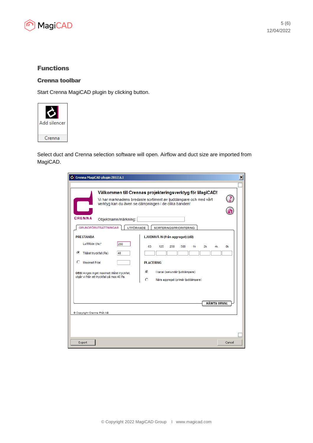

## Functions

#### Crenna toolbar

Start Crenna MagiCAD plugin by clicking button.



Select duct and Crenna selection software will open. Airflow and duct size are imported from MagiCAD.

| C Crenna MagiCAD plugin 2012.6.1                                                                                                                                             | $\vert x \vert$ |
|------------------------------------------------------------------------------------------------------------------------------------------------------------------------------|-----------------|
|                                                                                                                                                                              |                 |
| Välkommen till Crennas projekteringsverktyg för MagiCAD!                                                                                                                     |                 |
| Vi har marknadens bredaste sortiment av ljuddämpare och med vårt<br>verktyg kan du även se dämpningen i de olika banden!                                                     |                 |
|                                                                                                                                                                              |                 |
| <b>CRENNA</b><br>Objektnamn/märkning:                                                                                                                                        |                 |
| <b>GRUNDFÖRUTSÄTTNINGAR</b><br>UTFÖRANDE<br>SORTERINGSPRIORITERING                                                                                                           |                 |
| LJUDNIVÁ IN (från aggregat) (dB)<br><b>PRESTANDA</b>                                                                                                                         |                 |
| Luftflöde (Vs)*<br>280<br>250<br>63<br>125<br>500<br>1k<br>2k<br>4k.<br>⊙<br>Tillåtet tryckfall (Pa)<br>40                                                                   | 8k              |
| О<br>Maximalt P-tal<br><b>PLACERING</b>                                                                                                                                      |                 |
| О<br>I kanal (sekundär ljuddämpare)<br>OBS! Anges inget maximalt tillåtet tryckfall,<br>utgår vi från ett tryckfall på max 40 Pa.<br>O<br>Nära aggregat (primär ljuddämpare) |                 |
|                                                                                                                                                                              |                 |
|                                                                                                                                                                              |                 |
| <b>HÄMTA URVAL</b>                                                                                                                                                           |                 |
| @ Copyright Crenna Plat AB                                                                                                                                                   |                 |
|                                                                                                                                                                              |                 |
|                                                                                                                                                                              |                 |
| Export                                                                                                                                                                       | Cancel          |